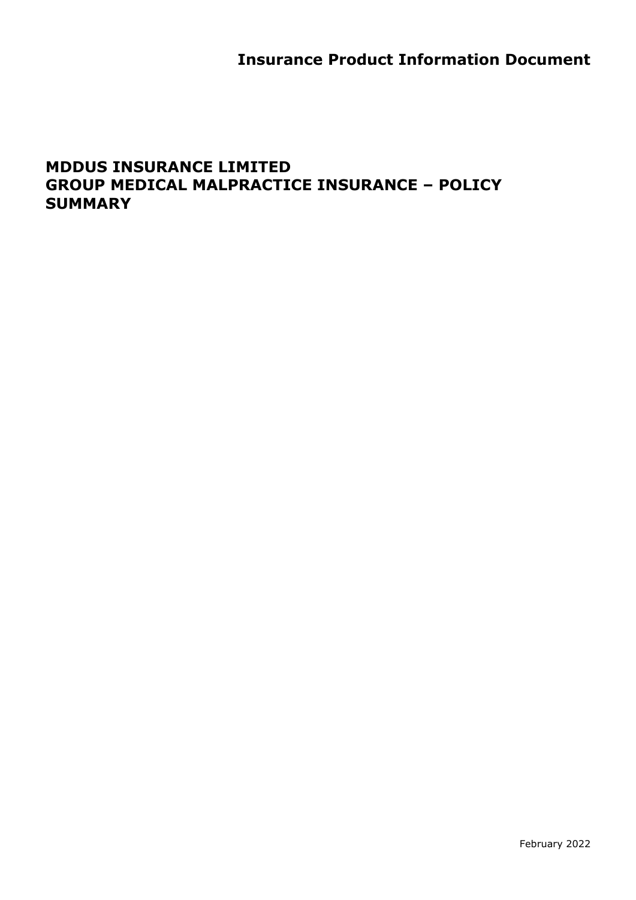# **Insurance Product Information Document**

## **MDDUS INSURANCE LIMITED GROUP MEDICAL MALPRACTICE INSURANCE – POLICY SUMMARY**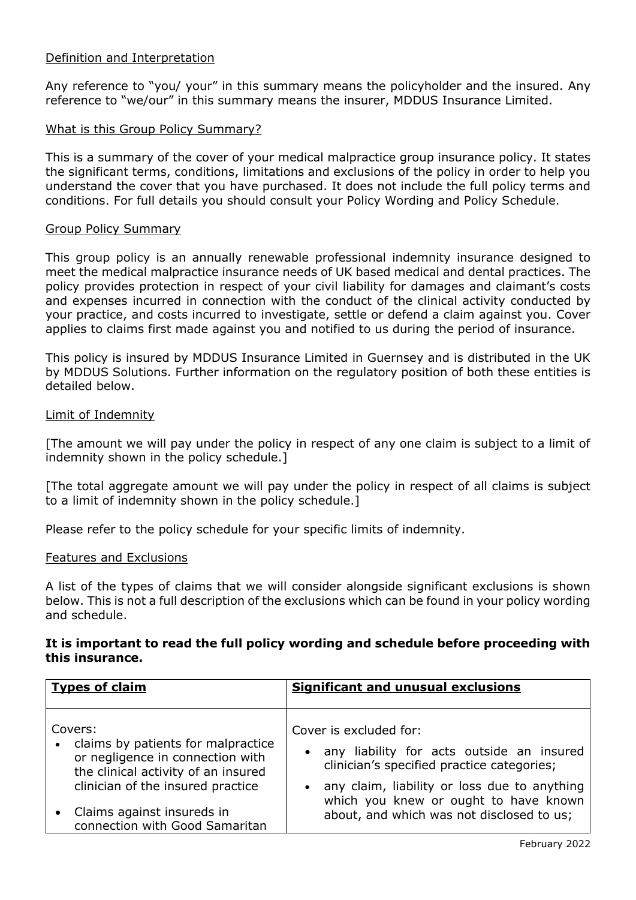## Definition and Interpretation

Any reference to "you/ your" in this summary means the policyholder and the insured. Any reference to "we/our" in this summary means the insurer, MDDUS Insurance Limited.

## What is this Group Policy Summary?

This is a summary of the cover of your medical malpractice group insurance policy. It states the significant terms, conditions, limitations and exclusions of the policy in order to help you understand the cover that you have purchased. It does not include the full policy terms and conditions. For full details you should consult your Policy Wording and Policy Schedule.

#### Group Policy Summary

This group policy is an annually renewable professional indemnity insurance designed to meet the medical malpractice insurance needs of UK based medical and dental practices. The policy provides protection in respect of your civil liability for damages and claimant's costs and expenses incurred in connection with the conduct of the clinical activity conducted by your practice, and costs incurred to investigate, settle or defend a claim against you. Cover applies to claims first made against you and notified to us during the period of insurance.

This policy is insured by MDDUS Insurance Limited in Guernsey and is distributed in the UK by MDDUS Solutions. Further information on the regulatory position of both these entities is detailed below.

#### Limit of Indemnity

[The amount we will pay under the policy in respect of any one claim is subject to a limit of indemnity shown in the policy schedule.]

[The total aggregate amount we will pay under the policy in respect of all claims is subject to a limit of indemnity shown in the policy schedule.]

Please refer to the policy schedule for your specific limits of indemnity.

#### Features and Exclusions

A list of the types of claims that we will consider alongside significant exclusions is shown below. This is not a full description of the exclusions which can be found in your policy wording and schedule.

## **It is important to read the full policy wording and schedule before proceeding with this insurance.**

| <b>Types of claim</b>                                                                                                                                           | <b>Significant and unusual exclusions</b>                                                                                                                                                                      |
|-----------------------------------------------------------------------------------------------------------------------------------------------------------------|----------------------------------------------------------------------------------------------------------------------------------------------------------------------------------------------------------------|
| Covers:<br>• claims by patients for malpractice<br>or negligence in connection with<br>the clinical activity of an insured<br>clinician of the insured practice | Cover is excluded for:<br>• any liability for acts outside an insured<br>clinician's specified practice categories;<br>• any claim, liability or loss due to anything<br>which you knew or ought to have known |
| Claims against insureds in<br>connection with Good Samaritan                                                                                                    | about, and which was not disclosed to us;                                                                                                                                                                      |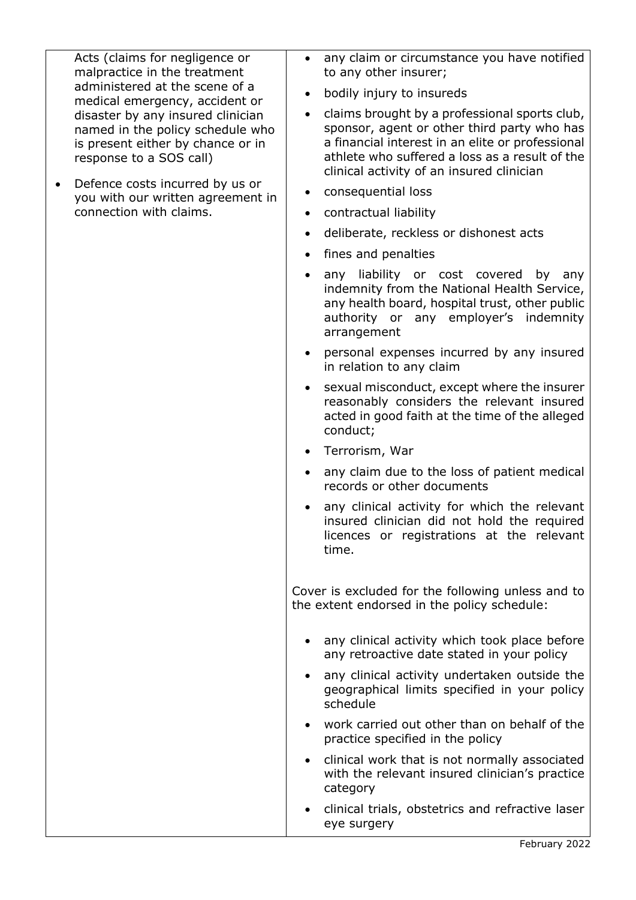Acts (claims for negligence or malpractice in the treatment administered at the scene of a medical emergency, accident or disaster by any insured clinician named in the policy schedule who is present either by chance or in response to a SOS call)

• Defence costs incurred by us or you with our written agreement in connection with claims.

- any claim or circumstance you have notified to any other insurer;
- bodily injury to insureds
- claims brought by a professional sports club, sponsor, agent or other third party who has a financial interest in an elite or professional athlete who suffered a loss as a result of the clinical activity of an insured clinician
- consequential loss
- contractual liability
- deliberate, reckless or dishonest acts
- fines and penalties
- any liability or cost covered by any indemnity from the National Health Service, any health board, hospital trust, other public authority or any employer's indemnity arrangement
- personal expenses incurred by any insured in relation to any claim
- sexual misconduct, except where the insurer reasonably considers the relevant insured acted in good faith at the time of the alleged conduct;
- Terrorism, War
- any claim due to the loss of patient medical records or other documents
- any clinical activity for which the relevant insured clinician did not hold the required licences or registrations at the relevant time.

Cover is excluded for the following unless and to the extent endorsed in the policy schedule:

- any clinical activity which took place before any retroactive date stated in your policy
- any clinical activity undertaken outside the geographical limits specified in your policy schedule
- work carried out other than on behalf of the practice specified in the policy
- clinical work that is not normally associated with the relevant insured clinician's practice category
- clinical trials, obstetrics and refractive laser eye surgery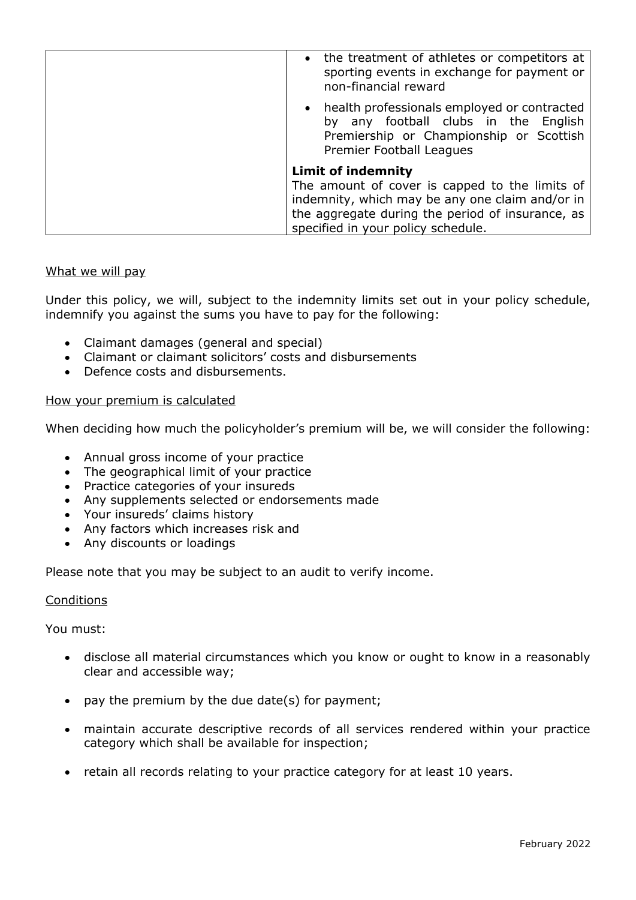| • the treatment of athletes or competitors at<br>sporting events in exchange for payment or<br>non-financial reward                                                                         |
|---------------------------------------------------------------------------------------------------------------------------------------------------------------------------------------------|
| • health professionals employed or contracted<br>by any football clubs in the English<br>Premiership or Championship or Scottish<br>Premier Football Leagues                                |
| <b>Limit of indemnity</b>                                                                                                                                                                   |
| The amount of cover is capped to the limits of<br>indemnity, which may be any one claim and/or in<br>the aggregate during the period of insurance, as<br>specified in your policy schedule. |

## What we will pay

Under this policy, we will, subject to the indemnity limits set out in your policy schedule, indemnify you against the sums you have to pay for the following:

- Claimant damages (general and special)
- Claimant or claimant solicitors' costs and disbursements
- Defence costs and disbursements.

#### How your premium is calculated

When deciding how much the policyholder's premium will be, we will consider the following:

- Annual gross income of your practice
- The geographical limit of your practice
- Practice categories of your insureds
- Any supplements selected or endorsements made
- Your insureds' claims history
- Any factors which increases risk and
- Any discounts or loadings

Please note that you may be subject to an audit to verify income.

## **Conditions**

You must:

- disclose all material circumstances which you know or ought to know in a reasonably clear and accessible way;
- pay the premium by the due date(s) for payment;
- maintain accurate descriptive records of all services rendered within your practice category which shall be available for inspection;
- retain all records relating to your practice category for at least 10 years.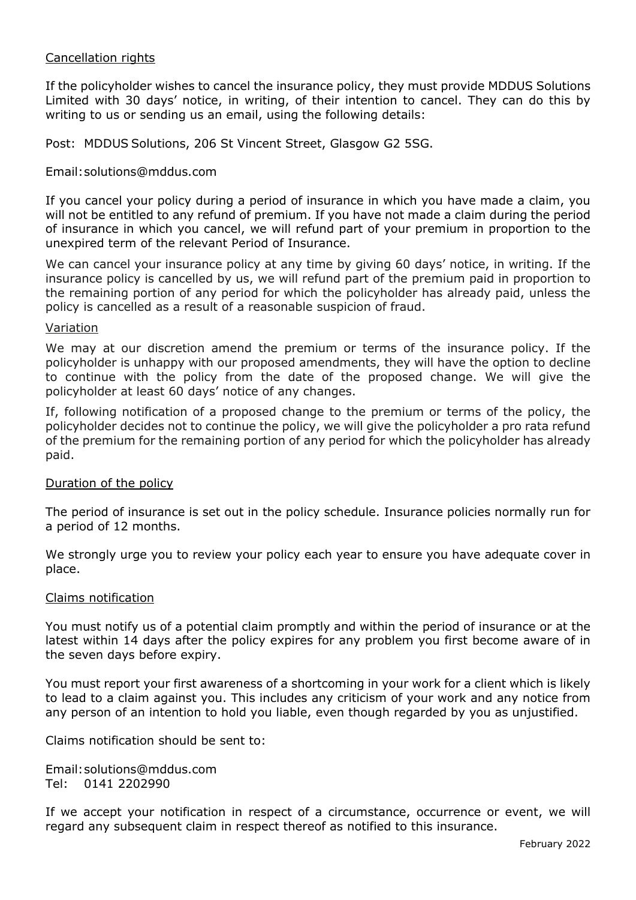## Cancellation rights

If the policyholder wishes to cancel the insurance policy, they must provide MDDUS Solutions Limited with 30 days' notice, in writing, of their intention to cancel. They can do this by writing to us or sending us an email, using the following details:

Post: MDDUS Solutions, 206 St Vincent Street, Glasgow G2 5SG.

## Email:solutions@mddus.com

If you cancel your policy during a period of insurance in which you have made a claim, you will not be entitled to any refund of premium. If you have not made a claim during the period of insurance in which you cancel, we will refund part of your premium in proportion to the unexpired term of the relevant Period of Insurance.

We can cancel your insurance policy at any time by giving 60 days' notice, in writing. If the insurance policy is cancelled by us, we will refund part of the premium paid in proportion to the remaining portion of any period for which the policyholder has already paid, unless the policy is cancelled as a result of a reasonable suspicion of fraud.

#### Variation

We may at our discretion amend the premium or terms of the insurance policy. If the policyholder is unhappy with our proposed amendments, they will have the option to decline to continue with the policy from the date of the proposed change. We will give the policyholder at least 60 days' notice of any changes.

If, following notification of a proposed change to the premium or terms of the policy, the policyholder decides not to continue the policy, we will give the policyholder a pro rata refund of the premium for the remaining portion of any period for which the policyholder has already paid.

#### Duration of the policy

The period of insurance is set out in the policy schedule. Insurance policies normally run for a period of 12 months.

We strongly urge you to review your policy each year to ensure you have adequate cover in place.

#### Claims notification

You must notify us of a potential claim promptly and within the period of insurance or at the latest within 14 days after the policy expires for any problem you first become aware of in the seven days before expiry.

You must report your first awareness of a shortcoming in your work for a client which is likely to lead to a claim against you. This includes any criticism of your work and any notice from any person of an intention to hold you liable, even though regarded by you as unjustified.

Claims notification should be sent to:

Email:solutions@mddus.com Tel: 0141 2202990

If we accept your notification in respect of a circumstance, occurrence or event, we will regard any subsequent claim in respect thereof as notified to this insurance.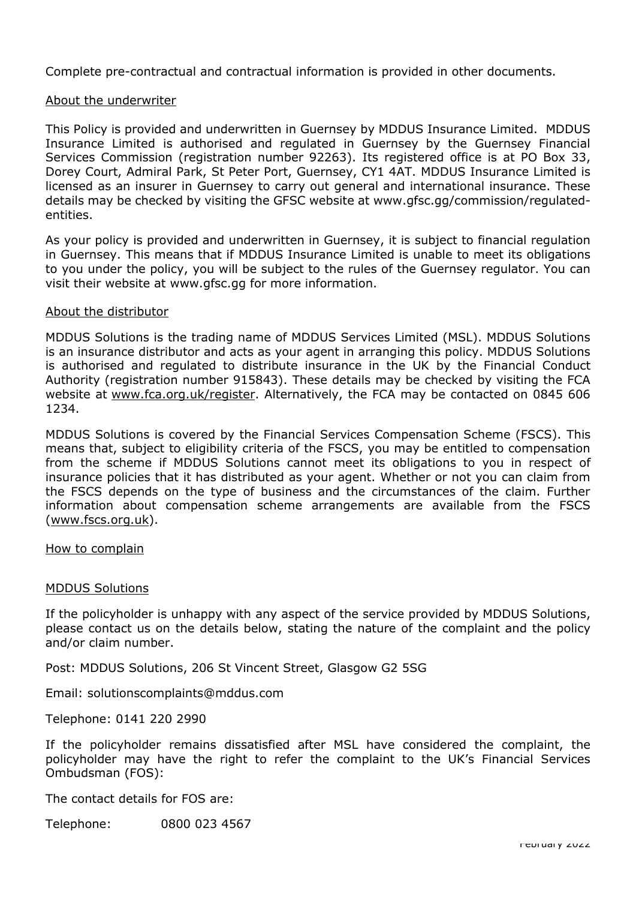Complete pre-contractual and contractual information is provided in other documents.

## About the underwriter

This Policy is provided and underwritten in Guernsey by MDDUS Insurance Limited. MDDUS Insurance Limited is authorised and regulated in Guernsey by the Guernsey Financial Services Commission (registration number 92263). Its registered office is at PO Box 33, Dorey Court, Admiral Park, St Peter Port, Guernsey, CY1 4AT. MDDUS Insurance Limited is licensed as an insurer in Guernsey to carry out general and international insurance. These details may be checked by visiting the GFSC website at www[.gfsc.gg/commission/regulated](https://www.gfsc.gg/commission/regulated-entities)[entities.](https://www.gfsc.gg/commission/regulated-entities)

As your policy is provided and underwritten in Guernsey, it is subject to financial regulation in Guernsey. This means that if MDDUS Insurance Limited is unable to meet its obligations to you under the policy, you will be subject to the rules of the Guernsey regulator. You can visit their website at [www.gfsc.gg](http://www.gfsc.gg/) for more information.

#### About the distributor

MDDUS Solutions is the trading name of MDDUS Services Limited (MSL). MDDUS Solutions is an insurance distributor and acts as your agent in arranging this policy. MDDUS Solutions is authorised and regulated to distribute insurance in the UK by the Financial Conduct Authority (registration number 915843). These details may be checked by visiting the FCA website at [www.fca.org.uk/register.](http://www.fca.org.uk/register) Alternatively, the FCA may be contacted on 0845 606 1234.

MDDUS Solutions is covered by the Financial Services Compensation Scheme (FSCS). This means that, subject to eligibility criteria of the FSCS, you may be entitled to compensation from the scheme if MDDUS Solutions cannot meet its obligations to you in respect of insurance policies that it has distributed as your agent. Whether or not you can claim from the FSCS depends on the type of business and the circumstances of the claim. Further information about compensation scheme arrangements are available from the FSCS [\(www.fscs.org.uk\)](http://www.fscs.org.uk/).

How to complain

## MDDUS Solutions

If the policyholder is unhappy with any aspect of the service provided by MDDUS Solutions, please contact us on the details below, stating the nature of the complaint and the policy and/or claim number.

Post: MDDUS Solutions, 206 St Vincent Street, Glasgow G2 5SG

Email: solutionscomplaints@mddus.com

Telephone: 0141 220 2990

If the policyholder remains dissatisfied after MSL have considered the complaint, the policyholder may have the right to refer the complaint to the UK's Financial Services Ombudsman (FOS):

The contact details for FOS are:

Telephone: 0800 023 4567